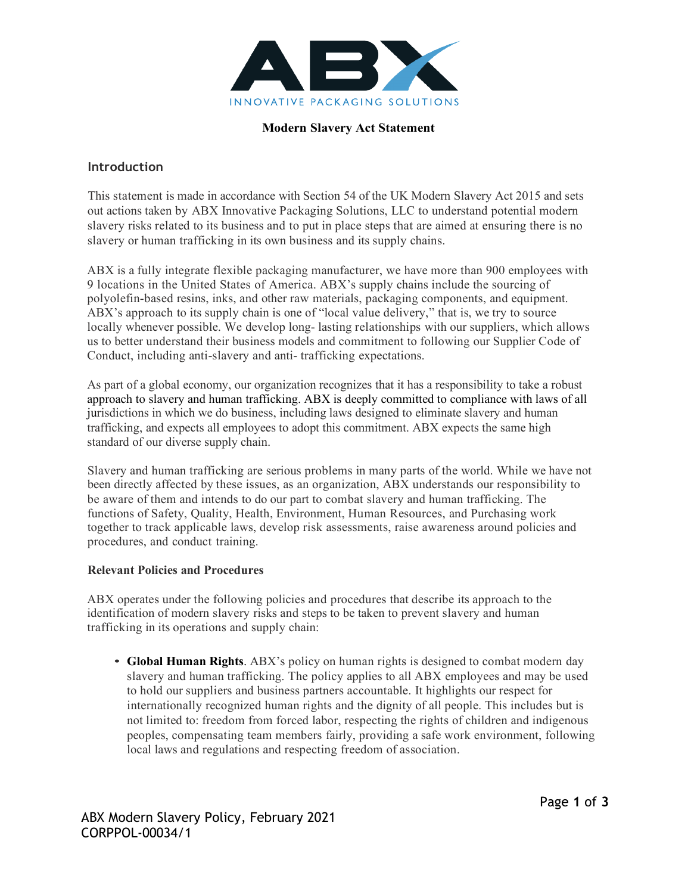

### **Modern Slavery Act Statement**

## **Introduction**

This statement is made in accordance with Section 54 of the UK Modern Slavery Act 2015 and sets out actions taken by ABX Innovative Packaging Solutions, LLC to understand potential modern slavery risks related to its business and to put in place steps that are aimed at ensuring there is no slavery or human trafficking in its own business and its supply chains.

ABX is a fully integrate flexible packaging manufacturer, we have more than 900 employees with 9 locations in the United States of America. ABX's supply chains include the sourcing of polyolefin-based resins, inks, and other raw materials, packaging components, and equipment. ABX's approach to its supply chain is one of "local value delivery," that is, we try to source locally whenever possible. We develop long- lasting relationships with our suppliers, which allows us to better understand their business models and commitment to following our Supplier Code of Conduct, including anti-slavery and anti- trafficking expectations.

As part of a global economy, our organization recognizes that it has a responsibility to take a robust approach to slavery and human trafficking. ABX is deeply committed to compliance with laws of all jurisdictions in which we do business, including laws designed to eliminate slavery and human trafficking, and expects all employees to adopt this commitment. ABX expects the same high standard of our diverse supply chain.

Slavery and human trafficking are serious problems in many parts of the world. While we have not been directly affected by these issues, as an organization, ABX understands our responsibility to be aware of them and intends to do our part to combat slavery and human trafficking. The functions of Safety, Quality, Health, Environment, Human Resources, and Purchasing work together to track applicable laws, develop risk assessments, raise awareness around policies and procedures, and conduct training.

### **Relevant Policies and Procedures**

ABX operates under the following policies and procedures that describe its approach to the identification of modern slavery risks and steps to be taken to prevent slavery and human trafficking in its operations and supply chain:

• **Global Human Rights**. ABX's policy on human rights is designed to combat modern day slavery and human trafficking. The policy applies to all ABX employees and may be used to hold our suppliers and business partners accountable. It highlights our respect for internationally recognized human rights and the dignity of all people. This includes but is not limited to: freedom from forced labor, respecting the rights of children and indigenous peoples, compensating team members fairly, providing a safe work environment, following local laws and regulations and respecting freedom of association.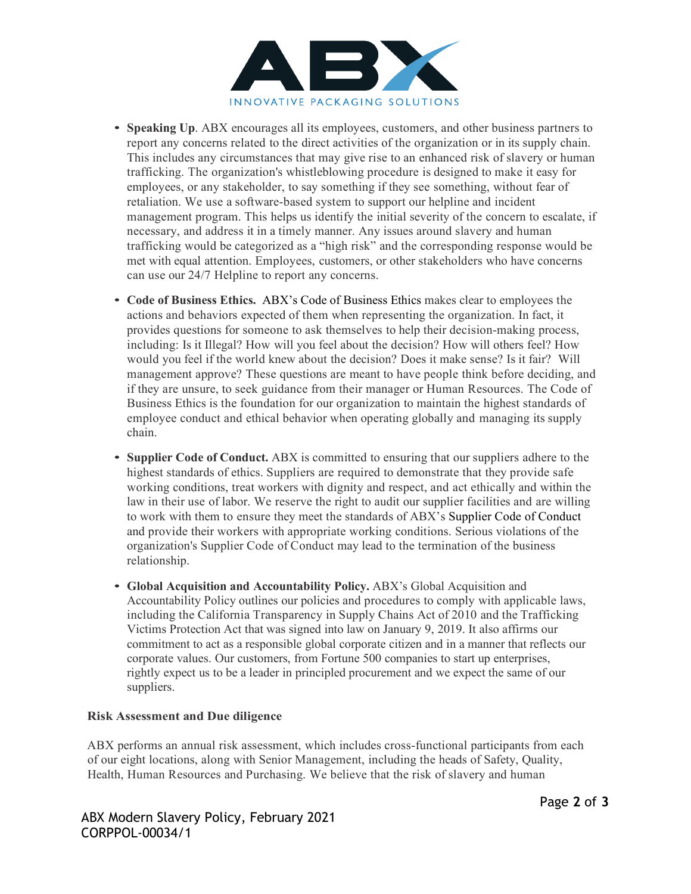

- **Speaking Up**. ABX encourages all its employees, customers, and other business partners to report any concerns related to the direct activities of the organization or in its supply chain. This includes any circumstances that may give rise to an enhanced risk of slavery or human trafficking. The organization's whistleblowing procedure is designed to make it easy for employees, or any stakeholder, to say something if they see something, without fear of retaliation. We use a software-based system to support our helpline and incident management program. This helps us identify the initial severity of the concern to escalate, if necessary, and address it in a timely manner. Any issues around slavery and human trafficking would be categorized as a "high risk" and the corresponding response would be met with equal attention. Employees, customers, or other stakeholders who have concerns can use ou[r 24/7 Helpline t](https://secure.ethicspoint.com/domain/media/en/gui/39248/index.html)o report any concerns.
- **Code of Business Ethics.** ABX's Code of Business Ethics makes clear to employees the actions and behaviors expected of them when representing the organization. In fact, it provides questions for someone to ask themselves to help their decision-making process, including: Is it Illegal? How will you feel about the decision? How will others feel? How would you feel if the world knew about the decision? Does it make sense? Is it fair? Will management approve? These questions are meant to have people think before deciding, and if they are unsure, to seek guidance from their manager or Human Resources. The Code of Business Ethics is the foundation for our organization to maintain the highest standards of employee conduct and ethical behavior when operating globally and managing its supply chain.
- **Supplier Code of Conduct.** ABX is committed to ensuring that our suppliers adhere to the highest standards of ethics. Suppliers are required to demonstrate that they provide safe working conditions, treat workers with dignity and respect, and act ethically and within the law in their use of labor. We reserve the right to audit our supplier facilities and are willing to work with them to ensure they meet the standards of ABX's Supplier Code of Conduct and provide their workers with appropriate working conditions. Serious violations of the organization's Supplier Code of Conduct may lead to the termination of the business relationship.
- **Global Acquisition and Accountability Policy.** ABX's Global Acquisition and Accountability Policy outlines our policies and procedures to comply with applicable laws, including the California Transparency in Supply Chains Act of 2010 and the Trafficking Victims Protection Act that was signed into law on January 9, 2019. It also affirms our commitment to act as a responsible global corporate citizen and in a manner that reflects our corporate values. Our customers, from Fortune 500 companies to start up enterprises, rightly expect us to be a leader in principled procurement and we expect the same of our suppliers.

### **Risk Assessment and Due diligence**

ABX performs an annual risk assessment, which includes cross-functional participants from each of our eight locations, along with Senior Management, including the heads of Safety, Quality, Health, Human Resources and Purchasing. We believe that the risk of slavery and human